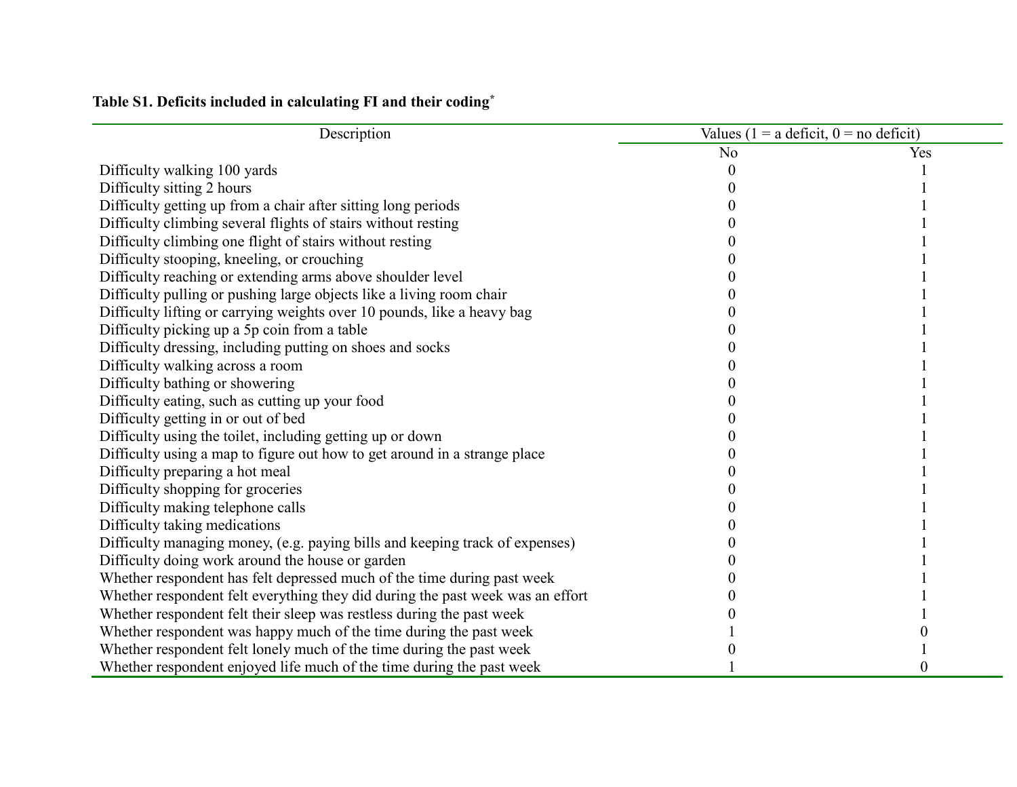| Description                                                                    |                | Values (1 = a deficit, $0 =$ no deficit) |  |  |
|--------------------------------------------------------------------------------|----------------|------------------------------------------|--|--|
|                                                                                | N <sub>0</sub> | Yes                                      |  |  |
| Difficulty walking 100 yards                                                   |                |                                          |  |  |
| Difficulty sitting 2 hours                                                     |                |                                          |  |  |
| Difficulty getting up from a chair after sitting long periods                  |                |                                          |  |  |
| Difficulty climbing several flights of stairs without resting                  |                |                                          |  |  |
| Difficulty climbing one flight of stairs without resting                       |                |                                          |  |  |
| Difficulty stooping, kneeling, or crouching                                    |                |                                          |  |  |
| Difficulty reaching or extending arms above shoulder level                     |                |                                          |  |  |
| Difficulty pulling or pushing large objects like a living room chair           |                |                                          |  |  |
| Difficulty lifting or carrying weights over 10 pounds, like a heavy bag        |                |                                          |  |  |
| Difficulty picking up a 5p coin from a table                                   |                |                                          |  |  |
| Difficulty dressing, including putting on shoes and socks                      |                |                                          |  |  |
| Difficulty walking across a room                                               |                |                                          |  |  |
| Difficulty bathing or showering                                                |                |                                          |  |  |
| Difficulty eating, such as cutting up your food                                |                |                                          |  |  |
| Difficulty getting in or out of bed                                            |                |                                          |  |  |
| Difficulty using the toilet, including getting up or down                      |                |                                          |  |  |
| Difficulty using a map to figure out how to get around in a strange place      |                |                                          |  |  |
| Difficulty preparing a hot meal                                                |                |                                          |  |  |
| Difficulty shopping for groceries                                              |                |                                          |  |  |
| Difficulty making telephone calls                                              |                |                                          |  |  |
| Difficulty taking medications                                                  |                |                                          |  |  |
| Difficulty managing money, (e.g. paying bills and keeping track of expenses)   |                |                                          |  |  |
| Difficulty doing work around the house or garden                               |                |                                          |  |  |
| Whether respondent has felt depressed much of the time during past week        |                |                                          |  |  |
| Whether respondent felt everything they did during the past week was an effort |                |                                          |  |  |
| Whether respondent felt their sleep was restless during the past week          |                |                                          |  |  |
| Whether respondent was happy much of the time during the past week             |                |                                          |  |  |
| Whether respondent felt lonely much of the time during the past week           |                |                                          |  |  |
| Whether respondent enjoyed life much of the time during the past week          |                |                                          |  |  |

## **Table S1. Deficits included in calculating FI and their coding\***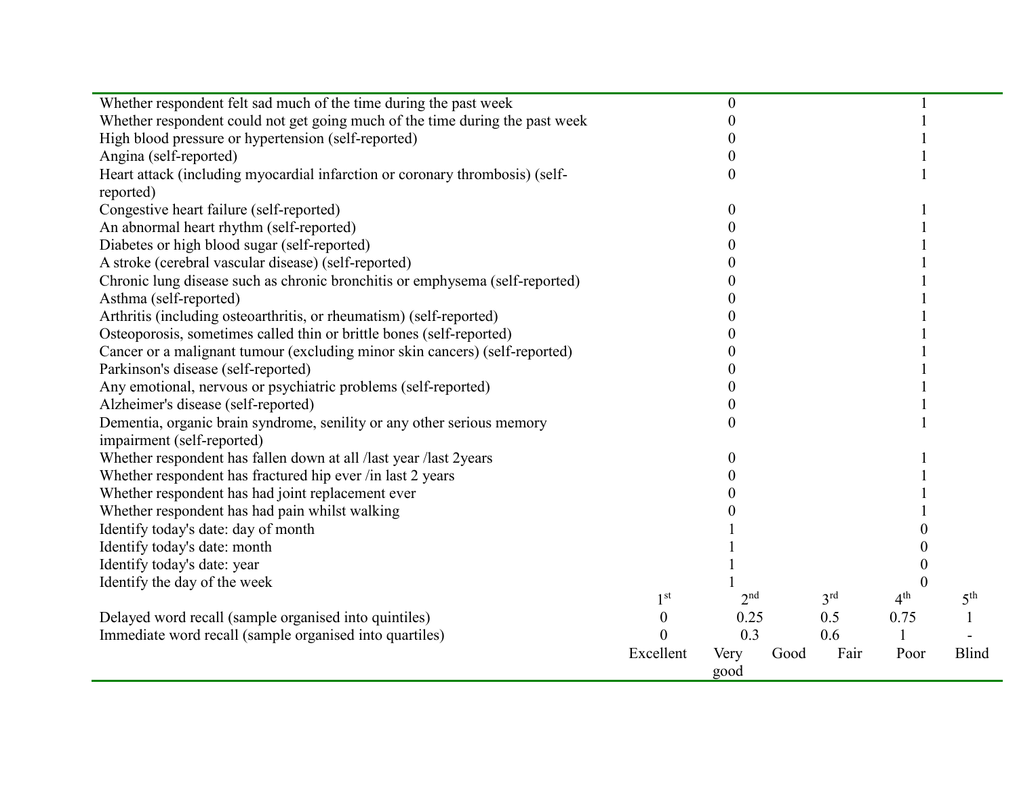| Whether respondent felt sad much of the time during the past week            |                  | 0               |      |                 |                 |                 |
|------------------------------------------------------------------------------|------------------|-----------------|------|-----------------|-----------------|-----------------|
| Whether respondent could not get going much of the time during the past week |                  |                 |      |                 |                 |                 |
| High blood pressure or hypertension (self-reported)                          |                  |                 |      |                 |                 |                 |
| Angina (self-reported)                                                       |                  |                 |      |                 |                 |                 |
| Heart attack (including myocardial infarction or coronary thrombosis) (self- |                  | 0               |      |                 |                 |                 |
| reported)                                                                    |                  |                 |      |                 |                 |                 |
| Congestive heart failure (self-reported)                                     |                  | 0               |      |                 |                 |                 |
| An abnormal heart rhythm (self-reported)                                     |                  |                 |      |                 |                 |                 |
| Diabetes or high blood sugar (self-reported)                                 |                  |                 |      |                 |                 |                 |
| A stroke (cerebral vascular disease) (self-reported)                         |                  |                 |      |                 |                 |                 |
| Chronic lung disease such as chronic bronchitis or emphysema (self-reported) |                  |                 |      |                 |                 |                 |
| Asthma (self-reported)                                                       |                  |                 |      |                 |                 |                 |
| Arthritis (including osteoarthritis, or rheumatism) (self-reported)          |                  |                 |      |                 |                 |                 |
| Osteoporosis, sometimes called thin or brittle bones (self-reported)         |                  |                 |      |                 |                 |                 |
| Cancer or a malignant tumour (excluding minor skin cancers) (self-reported)  |                  |                 |      |                 |                 |                 |
| Parkinson's disease (self-reported)                                          |                  |                 |      |                 |                 |                 |
| Any emotional, nervous or psychiatric problems (self-reported)               |                  |                 |      |                 |                 |                 |
| Alzheimer's disease (self-reported)                                          |                  | $\theta$        |      |                 |                 |                 |
| Dementia, organic brain syndrome, senility or any other serious memory       |                  | 0               |      |                 |                 |                 |
| impairment (self-reported)                                                   |                  |                 |      |                 |                 |                 |
| Whether respondent has fallen down at all /last year /last 2years            |                  | 0               |      |                 |                 |                 |
| Whether respondent has fractured hip ever /in last 2 years                   |                  |                 |      |                 |                 |                 |
| Whether respondent has had joint replacement ever                            |                  |                 |      |                 |                 |                 |
| Whether respondent has had pain whilst walking                               |                  |                 |      |                 |                 |                 |
| Identify today's date: day of month                                          |                  |                 |      |                 |                 |                 |
| Identify today's date: month                                                 |                  |                 |      |                 |                 |                 |
| Identify today's date: year                                                  |                  |                 |      |                 |                 |                 |
| Identify the day of the week                                                 |                  |                 |      |                 | $\theta$        |                 |
|                                                                              | 1 <sup>st</sup>  | 2 <sup>nd</sup> |      | 3 <sup>rd</sup> | 4 <sup>th</sup> | 5 <sup>th</sup> |
| Delayed word recall (sample organised into quintiles)                        | $\boldsymbol{0}$ | 0.25            |      | 0.5             | 0.75            |                 |
| Immediate word recall (sample organised into quartiles)                      | $\theta$         | 0.3             |      | 0.6             |                 |                 |
|                                                                              | Excellent        | Very            | Good | Fair            | Poor            | <b>Blind</b>    |
|                                                                              |                  | good            |      |                 |                 |                 |